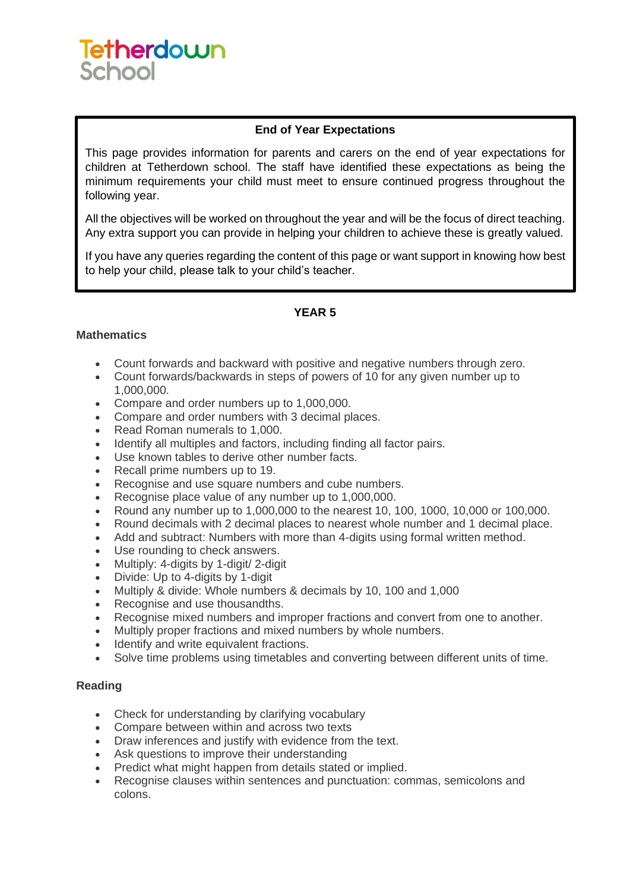# Tetherdown School

## **End of Year Expectations**

This page provides information for parents and carers on the end of year expectations for children at Tetherdown school. The staff have identified these expectations as being the minimum requirements your child must meet to ensure continued progress throughout the following year.

All the objectives will be worked on throughout the year and will be the focus of direct teaching. Any extra support you can provide in helping your children to achieve these is greatly valued.

If you have any queries regarding the content of this page or want support in knowing how best to help your child, please talk to your child's teacher.

## **YEAR 5**

#### **Mathematics**

- Count forwards and backward with positive and negative numbers through zero.
- Count forwards/backwards in steps of powers of 10 for any given number up to 1,000,000.
- Compare and order numbers up to 1,000,000.
- Compare and order numbers with 3 decimal places.
- Read Roman numerals to 1,000.
- Identify all multiples and factors, including finding all factor pairs.
- Use known tables to derive other number facts.
- Recall prime numbers up to 19.
- Recognise and use square numbers and cube numbers.
- Recognise place value of any number up to 1,000,000.
- Round any number up to 1,000,000 to the nearest 10, 100, 1000, 10,000 or 100,000.
- Round decimals with 2 decimal places to nearest whole number and 1 decimal place.
- Add and subtract: Numbers with more than 4-digits using formal written method.
- Use rounding to check answers.
- Multiply: 4-digits by 1-digit/ 2-digit
- Divide: Up to 4-digits by 1-digit
- Multiply & divide: Whole numbers & decimals by 10, 100 and 1,000
- Recognise and use thousandths.
- Recognise mixed numbers and improper fractions and convert from one to another.
- Multiply proper fractions and mixed numbers by whole numbers.
- Identify and write equivalent fractions.
- Solve time problems using timetables and converting between different units of time.

#### **Reading**

- Check for understanding by clarifying vocabulary
- Compare between within and across two texts
- Draw inferences and justify with evidence from the text.
- Ask questions to improve their understanding
- Predict what might happen from details stated or implied.
- Recognise clauses within sentences and punctuation: commas, semicolons and colons.